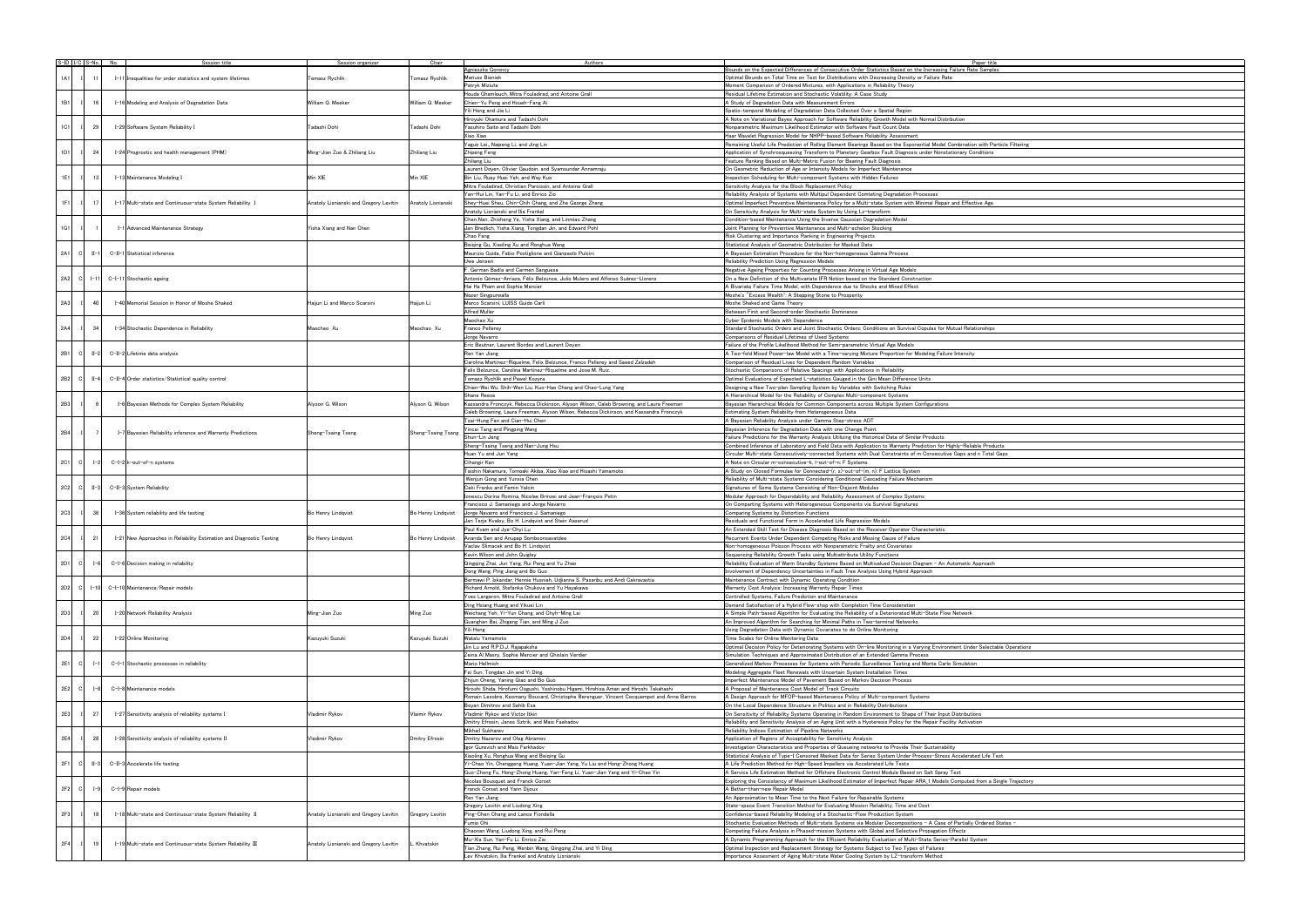| $S$ -ID $\vert$ I/C $\vert$ S-No. No. |                 |  | Session title                                                        | Session organizer                      | Chair              | Authors                                                                                   | Paper title                                                                                                       |
|---------------------------------------|-----------------|--|----------------------------------------------------------------------|----------------------------------------|--------------------|-------------------------------------------------------------------------------------------|-------------------------------------------------------------------------------------------------------------------|
|                                       |                 |  |                                                                      |                                        |                    | Agnieszka Goroncy                                                                         | Bounds on the Expected Differences of Consecutive Order Statistics Based on the Increasing Failure Rate Sample    |
| 1A1                                   | 11              |  |                                                                      |                                        |                    | Mariusz Bieniek                                                                           | Optimal Bounds on Total Time on Test for Distributions with Decreasing Density or Failure Rate                    |
|                                       |                 |  | I-11 Inequalities for order statistics and system lifetimes          | Tomasz Rychlik                         | Tomasz Rychlik     |                                                                                           | Moment Comparison of Ordered Mixtures, with Applications in Reliability Theory                                    |
|                                       |                 |  |                                                                      |                                        |                    | Patryk Miziuła                                                                            |                                                                                                                   |
|                                       |                 |  |                                                                      |                                        |                    | Houda Ghamlouch, Mitra Fouladirad, and Antoine Grall                                      | Residual Lifetime Estimation and Stochastic Volatility: A Case Study                                              |
| 1B1                                   | 16              |  | I-16 Modeling and Analysis of Degradation Data                       | William Q. Meeker                      | William Q. Meeker  | Chien-Yu Peng and Hsueh-Fang Ai                                                           | A Study of Degradation Data with Measurement Errors                                                               |
|                                       |                 |  |                                                                      |                                        |                    | Yili Hong and Jie Li                                                                      | Spatio-temporal Modeling of Degradation Data Collected Over a Spatial Region                                      |
|                                       |                 |  |                                                                      |                                        |                    | Hiroyuki Okamura and Tadashi Dohi                                                         | A Note on Variational Bayes Approach for Software Reliability Growth Model with Normal Distribution               |
|                                       |                 |  |                                                                      |                                        |                    |                                                                                           |                                                                                                                   |
| 1C1                                   | 29              |  | I-29 Software System Reliability I                                   | Tadashi Dohi                           | Tadashi Dohi       | Yasuhiro Saito and Tadashi Dohi                                                           | Nonparametric Maximum Likelihood Estimator with Software Fault Count Data                                         |
|                                       |                 |  |                                                                      |                                        |                    | Xiao Xiao                                                                                 | Haar Wavelet Regression Model for NHPP-based Software Reliability Assessment                                      |
|                                       |                 |  |                                                                      |                                        |                    | Yaguo Lei, Naipeng Li, and Jing Lin                                                       | Remaining Useful Life Prediction of Rolling Element Bearings Based on the Exponential Model Combination with Pa   |
|                                       |                 |  |                                                                      |                                        |                    |                                                                                           |                                                                                                                   |
| 1D1                                   | 24              |  | I-24 Prognostic and health management (PHM)                          | Ming-Jian Zuo & Zhiliang Liu           | Zhiliang Liu       | Zhipeng Feng                                                                              | Application of Synchrosqueezing Transform to Planetary Gearbox Fault Diagnosis under Nonstationary Conditions     |
|                                       |                 |  |                                                                      |                                        |                    | Zhiliang Liu                                                                              | Feature Ranking Based on Multi-Metric Fusion for Bearing Fault Diagnosis                                          |
|                                       |                 |  |                                                                      |                                        |                    | Laurent Doyen, Olivier Gaudoin, and Syamsundar Annamraju                                  | On Geometric Reduction of Age or Intensity Models for Imperfect Maintenance                                       |
| 1E1                                   |                 |  |                                                                      |                                        |                    |                                                                                           |                                                                                                                   |
|                                       | 13              |  | I-13 Maintenance Modeling I                                          | Min XIE                                | Min XIE            | Bin Liu, Ruey Huei Yeh, and Way Kuo                                                       | Inspection Scheduling for Multi-component Systems with Hidden Failures                                            |
|                                       |                 |  |                                                                      |                                        |                    | Mitra Fouladirad, Christian Paroissin, and Antoine Grall                                  | Sensitivity Analysis for the Block Replacement Policy                                                             |
|                                       |                 |  |                                                                      |                                        |                    | Yan-Hui Lin, Yan-Fu Li, and Enrico Zio                                                    | Reliability Analysis of Systems with Multipul Dependent Comteting Degradation Processes                           |
| 1F1                                   | 17              |  | I-17 Multi-state and Continuous-state System Reliability I           | Anatoly Lisnianski and Gregory Levitin | Anatoly Lisnianski | Shev-Huei Sheu, Chin-Chih Chang, and Zhe George Zhang                                     | Optimal Imperfect Preventive Maintenance Policy for a Multi-state System with Minimal Repair and Effective Age    |
|                                       |                 |  |                                                                      |                                        |                    | Anatoly Lisnianski and Ilia Frenkel                                                       | On Sensitivity Analysis for Multi-state System by Using Lz-transform                                              |
|                                       |                 |  |                                                                      |                                        |                    |                                                                                           |                                                                                                                   |
|                                       |                 |  |                                                                      |                                        |                    | Chen Nan, Zhisheng Ye, Yisha Xiang, and Linmiao Zhang                                     | Condition-based Maintenance Using the Inverse Gaussian Degradation Model                                          |
| 1G1                                   |                 |  | I-1 Advanced Maintenance Strategy                                    | Yisha Xiang and Nan Chen               |                    | Jan Bredlich, Yisha Xiang, Tongdan Jin, and Edward Pohl                                   | Joint Planning for Preventive Maintenance and Multi-echelon Stocking                                              |
|                                       |                 |  |                                                                      |                                        |                    | Chao Fang                                                                                 | Risk Clustering and Importance Ranking in Engineering Projects                                                    |
|                                       |                 |  |                                                                      |                                        |                    | Beiging Gu, Xiaoling Xu and Ronghua Wang                                                  | Statistical Analysis of Geometric Distribution for Masked Data                                                    |
|                                       |                 |  |                                                                      |                                        |                    |                                                                                           |                                                                                                                   |
| 2A1<br> C                             | $II-1$          |  | C-II-1 Statistical inference                                         |                                        |                    | Maurizio Guida, Fabio Postiglione and Gianpaolo Pulcini                                   | A Bayesian Estimation Procedure for the Non-homogeneous Gamma Process                                             |
|                                       |                 |  |                                                                      |                                        |                    | Uwe Jensen                                                                                | Reliability Prediction Using Regression Models                                                                    |
|                                       |                 |  |                                                                      |                                        |                    | . German Badía and Carmen Sanguesa                                                        | Negative Ageing Properties for Counting Processes Arising in Virtual Age Models                                   |
|                                       |                 |  |                                                                      |                                        |                    |                                                                                           | On a New Definition of the Multivariate IFR Notion based on the Standard Construction                             |
| - cl<br>2A2                           | $I - 11$        |  | C-I-11 Stochastic ageing                                             |                                        |                    | Antonio Gómez-Arriaza, Félix Belzunce, Julio Mulero and Alfonso Suárez-Llorens            |                                                                                                                   |
|                                       |                 |  |                                                                      |                                        |                    | Hai Ha Pham and Sophie Mercier                                                            | A Bivariate Failure Time Model, with Dependence due to Shocks and Mixed Effect                                    |
|                                       |                 |  |                                                                      |                                        |                    | Nozer Singpurwalla                                                                        | Moshe's "Excess Wealth": A Stepping Stone to Prosperity                                                           |
| 2A3                                   | 40              |  | I-40 Memorial Session in Honor of Moshe Shaked                       | Haijun Li and Marco Scarsini           | Haijun Li          | Marco Scarsini, LUISS Guido Carli                                                         | Moshe Shaked and Game Theory                                                                                      |
|                                       |                 |  |                                                                      |                                        |                    | Alfred Muller                                                                             |                                                                                                                   |
|                                       |                 |  |                                                                      |                                        |                    |                                                                                           | Between First and Second-order Stochastic Dominance                                                               |
|                                       |                 |  |                                                                      |                                        |                    | Maochao Xu                                                                                | Cyber Epidemic Models with Dependence                                                                             |
| 2A4                                   | 34              |  | I-34 Stochastic Dependence in Reliability                            | Maochao Xu                             | Maochao Xu         | Franco Pellerey                                                                           | Standard Stochastic Orders and Joint Stochastic Orders: Conditions on Survival Copulas for Mutual Relationships   |
|                                       |                 |  |                                                                      |                                        |                    | Jorge Navarro                                                                             | Comparisons of Residual Lifetimes of Used Svstems                                                                 |
|                                       |                 |  |                                                                      |                                        |                    |                                                                                           |                                                                                                                   |
|                                       |                 |  |                                                                      |                                        |                    | Eric Beutner, Laurent Bordes and Laurent Doyen                                            | Failure of the Profile Likelihood Method for Semi-parametric Virtual Age Models                                   |
| 2B1<br>- cl                           | $II-2$          |  | C-II-2 Lifetime data analysis                                        |                                        |                    | Ren Yan Jiang                                                                             | A Two-fold Mixed Power-law Model with a Time-varying Mixture Proportion for Modeling Failure Intensity            |
|                                       |                 |  |                                                                      |                                        |                    | Carolina Martinez-Riquelme, Felix Belzunce, Franco Pellerey and Saeed Zalzadeh            | Comparison of Residual Lives for Dependent Random Variables                                                       |
|                                       |                 |  |                                                                      |                                        |                    | Felix Belzunce, Carolina Martinez-Riquelme and Jose M. Ruiz                               | Stochastic Comparisons of Relative Spacings with Applications in Reliability                                      |
|                                       |                 |  |                                                                      |                                        |                    |                                                                                           |                                                                                                                   |
| 2B2<br>- Cl                           | $II-4$          |  | C-II-4 Order statistics/Statistical quality control                  |                                        |                    | Tomasz Rychlik and Pawel Kozyra                                                           | Optimal Evaluations of Expected L-statistics Gauged in the Gini Mean Difference Units                             |
|                                       |                 |  |                                                                      |                                        |                    | Chien-Wei Wu, Shih-Wen Liu, Kuo-Hao Chang and Chao-Lung Yang                              | Designing a New Two-plan Sampling System by Variables with Switching Rules                                        |
|                                       |                 |  |                                                                      |                                        |                    | Shane Reese                                                                               | A Hierarchical Model for the Reliability of Complex Multi-component Systems                                       |
|                                       |                 |  |                                                                      |                                        |                    |                                                                                           |                                                                                                                   |
| 2B3                                   | 6               |  | I-6 Bayesian Methods for Complex System Reliability                  | Alyson G. Wilson                       | Alyson G. Wilson   | Kassandra Fronczyk, Rebecca Dickinson, Alyson Wilson, Caleb Browning, and Laura Freeman   | Bayesian Hierarchical Models for Common Components across Multiple System Configurations                          |
|                                       |                 |  |                                                                      |                                        |                    | Caleb Browning, Laura Freeman, Alyson Wilson, Rebecca Dickinson, and Kassandra Fronczyk   | Estimating System Reliability from Heterogeneous Data                                                             |
|                                       |                 |  |                                                                      |                                        |                    | Tsai-Hung Fan and Cian-Hui Chen                                                           | A Bayesian Reliability Analysis under Gamma Step-stress ADT                                                       |
|                                       |                 |  |                                                                      |                                        |                    |                                                                                           |                                                                                                                   |
| 2B4                                   | $\overline{7}$  |  | I-7 Bayesian Reliability inference and Warranty Predictions          | Sheng-Tsaing Tseng                     | Sheng-Tsaing Tseng | fincai Tang and Pingping Wang                                                             | Bayesian Inference for Degradation Data with one Change Point                                                     |
|                                       |                 |  |                                                                      |                                        |                    | Shun-Lin Jeng                                                                             | Failure Predictions for the Warranty Analysis Utilizing the Historical Data of Similar Products                   |
|                                       |                 |  |                                                                      |                                        |                    | Sheng-Tsaing Tseng and Nan-Jung Hsu                                                       | Combined Inference of Laboratory and Field Data with Application to Warranty Prediction for Highly-Reliable Prodi |
|                                       |                 |  |                                                                      |                                        |                    | Huan Yu and Jun Yang                                                                      | Circular Multi-state Consecutively-connected Systems with Dual Constraints of m Consecutive Gaps and n Total      |
|                                       |                 |  |                                                                      |                                        |                    | Cihangir Kan                                                                              |                                                                                                                   |
| 2C1<br>- Cl                           | $I - 2$         |  | C-I-2 k-out-of-n systems                                             |                                        |                    |                                                                                           | A Note on Circular m-consecutive-k, I-out-of-n: F Systems                                                         |
|                                       |                 |  |                                                                      |                                        |                    | Taishin Nakamura, Tomoaki Akiba, Xiao Xiao and Hisashi Yamamoto                           | A Study on Closed Formulae for Connected-(r, s)-out-of-(m, n): F Lattice System                                   |
|                                       |                 |  |                                                                      |                                        |                    | Wenjun Gong and Yunxia Chen                                                               | Reliability of Multi-state Systems Considering Conditional Cascading Failure Mechanism                            |
| 2C2<br> C                             | $II-3$          |  | C−II−3 System Reliability                                            |                                        |                    | Ceki Franko and Femin Yalcin                                                              | Signatures of Some Systems Consisting of Non-Disioint Modules                                                     |
|                                       |                 |  |                                                                      |                                        |                    |                                                                                           |                                                                                                                   |
|                                       |                 |  |                                                                      |                                        |                    | onescu Dorina Romina, Nicolae Brinzei and Jean-François Petin                             | Modular Approach for Dependability and Reliability Assessment of Complex Systems                                  |
|                                       |                 |  |                                                                      |                                        |                    | Francisco J. Samaniego and Jorge Navarro                                                  | On Comparting Systems with Heterogeneous Components via Survival Signatures                                       |
| 2C3                                   | 36              |  | I-36 System reliability and life testing                             | Bo Henry Lindqvist                     | Bo Henry Lindqvist | Jorge Navarro and Francisco J. Samaniego                                                  | Comparing Systems by Distortion Functions                                                                         |
|                                       |                 |  |                                                                      |                                        |                    | Jan Terje Kvaloy, Bo H. Lindqvist and Stein Aaserud                                       | Residuals and Functional Form in Accelerated Life Regression Models                                               |
|                                       |                 |  |                                                                      |                                        |                    |                                                                                           |                                                                                                                   |
|                                       |                 |  |                                                                      |                                        |                    | Paul Kvam and Jye-Chyi Lu                                                                 | An Extended Skill Test for Disease Diagnosis Based on the Receiver Operator Characteristic                        |
| 2C4                                   | 21              |  | I-21 New Approaches in Reliability Estimation and Diagnostic Testing | Bo Henry Lindqvist                     | Bo Henry Lindqvist | Ananda Sen and Anupap Somboonsavatdee                                                     | Recurrent Events Under Dependent Competing Risks and Missing Cause of Failure                                     |
|                                       |                 |  |                                                                      |                                        |                    | Vaclav Slimacek and Bo H. Lindqvist                                                       | Non-homogeneous Poisson Process with Nonparametric Frailty and Covariates                                         |
|                                       |                 |  |                                                                      |                                        |                    | Kevin Wilson and John Quigley                                                             | Sequencing Reliability Growth Tasks using Multiattribute Utility Functions                                        |
|                                       |                 |  |                                                                      |                                        |                    |                                                                                           |                                                                                                                   |
| 2D1<br>- CI                           | $I-6$           |  | C-I-6 Decision making in reliability                                 |                                        |                    | Qingqing Zhai, Jun Yang, Rui Peng and Yu Zhao                                             | Reliability Evaluation of Warm Standby Systems Based on Multivalued Decision Diagram - An Automatic Approach      |
|                                       |                 |  |                                                                      |                                        |                    | Dong Wang, Ping Jiang and Bo Guo                                                          | Involvement of Dependency Uncertainties in Fault Tree Analysis Using Hybrid Approach                              |
|                                       |                 |  |                                                                      |                                        |                    | Bermawi P. Iskandar, Hennie Husniah, Udjianna S. Pasaribu and Andi Cakravastia            | Maintenance Contract with Dynamic Operating Condition                                                             |
|                                       |                 |  |                                                                      |                                        |                    |                                                                                           |                                                                                                                   |
| 2D2<br>- cl                           | $I - 10$        |  | C-I-10 Maintenance/Repair models                                     |                                        |                    | Richard Arnold, Stefanka Chukova and Yu Hayakawa                                          | Warranty Cost Analysis: Increasing Warranty Repair Times                                                          |
|                                       |                 |  |                                                                      |                                        |                    | Yves Langeron, Mitra Fouladirad and Antoine Grall                                         | Controlled Systems, Failure Prediction and Maintenance                                                            |
|                                       |                 |  |                                                                      |                                        |                    | Ding Hsiang Huang and Yikuei Lin                                                          | Demand Satisfaction of a Hybrid Flow-shop with Completion Time Consideration                                      |
| 2D3                                   | 20 <sup>1</sup> |  | I-20 Network Reliability Analysis                                    | Ming-Jian Zuo                          | Ming Zuo           | Weichang Yeh, Yi-Yun Chang, and Chyh-Ming Lai                                             | A Simple Path-based Algorithm for Evaluating the Reliability of a Deteriorated Multi-State Flow Network           |
|                                       |                 |  |                                                                      |                                        |                    | Guanghan Bai, Zhigang Tian, and Ming J Zuo                                                | An Improved Algorithm for Searching for Minimal Paths in Two-terminal Networks                                    |
|                                       |                 |  |                                                                      |                                        |                    |                                                                                           |                                                                                                                   |
|                                       |                 |  |                                                                      |                                        |                    | Yili Hong                                                                                 | Using Degradation Data with Dynamic Covariates to do Online Monitoring                                            |
| 2D4                                   | 22              |  | I-22 Online Monitoring                                               | Kazuyuki Suzuki                        | Kazuyuki Suzuki    | Watalu Yamamoto                                                                           | Time Scales for Online Monitoring Data                                                                            |
|                                       |                 |  |                                                                      |                                        |                    | Jin Lu and R.P.D.J. Rajapaksha                                                            | Optimal Decision Policy for Deteriorating Systems with On-line Monitoring in a Varying Environment Under Selecta  |
|                                       |                 |  |                                                                      |                                        |                    | Zeina Al Masry, Sophie Mercier and Ghislain Verdier                                       | Simulation Techniques and Approximated Distribution of an Extended Gamma Process                                  |
|                                       |                 |  |                                                                      |                                        |                    |                                                                                           |                                                                                                                   |
| 2E1<br>- cl                           | $I-1$           |  | C-I-1 Stochastic processes in reliability                            |                                        |                    | Mario Hellmich                                                                            | Generalized Markov Processes for Systems with Periodic Surveillance Testing and Monte Carlo Simulation            |
|                                       |                 |  |                                                                      |                                        |                    | Fei Sun, Tongdan Jin and Yi Ding.                                                         | Modeling Aggregate Fleet Renewals with Uncertain System Installation Times                                        |
|                                       |                 |  |                                                                      |                                        |                    | Zhijun Cheng, Yaning Qiao and Bo Guo                                                      | Imperfect Maintenance Model of Pavement Based on Markov Decision Process                                          |
| 2E2<br>- cl                           | $I-8$           |  | C-I-8 Maintenance models                                             |                                        |                    | Hiroshi Shida, Hirofumi Oogushi, Yoshinobu Higami, Hirohisa Aman and Hiroshi Takahashi    | A Proposal of Maintenance Cost Model of Track Circuits                                                            |
|                                       |                 |  |                                                                      |                                        |                    |                                                                                           |                                                                                                                   |
|                                       |                 |  |                                                                      |                                        |                    | Romain Lesobre, Keomany Bouvard, Christophe Berenguer, Vincent Cocquempot and Anne Barros | A Design Approach for MFOP-based Maintenance Policy of Multi-component Systems                                    |
|                                       |                 |  |                                                                      |                                        |                    | Boyan Dimitrov and Sahib Esa                                                              | On the Local Dependence Structure in Politics and in Reliability Distributions                                    |
| 2E3                                   | 27              |  | I-27 Sensitivity analysis of reliability systems I                   | Vladimir Rykov                         | Vlaimir Rykov      | Vladimir Rykov and Victor Itkin                                                           | On Sensitivity of Reliability Systems Operating in Random Environment to Shape of Their Input Distributions       |
|                                       |                 |  |                                                                      |                                        |                    | Dmitry Efrosin, Janos Sztrik, and Mais Faehadov                                           | Reliability and Sensitivity Analysis of an Aging Unit with a Hysteresis Policy for the Repair Facility Activation |
|                                       |                 |  |                                                                      |                                        |                    |                                                                                           |                                                                                                                   |
|                                       |                 |  |                                                                      |                                        |                    | Mikhail Sukharev                                                                          | Reliability Indices Estimation of Pipeline Networks                                                               |
| 2E4                                   | 28              |  | I-28 Sensitivity analysis of reliability systems II                  | Vladimir Rykov                         | Dmitry Efrosin     | Dmitry Nazarov and Oleg Abramov                                                           | Application of Regions of Acceptability for Sensitivity Analysis                                                  |
|                                       |                 |  |                                                                      |                                        |                    | Igor Gurevich and Mais Farkhadov                                                          | Investigation Characteristics and Properties of Queueing networks to Provide Their Sustainability                 |
|                                       |                 |  |                                                                      |                                        |                    |                                                                                           |                                                                                                                   |
|                                       |                 |  | C-II-3 Accelerate life testing                                       |                                        |                    | Xiaoling Xu, Ronghua Wang and Beiging Gu                                                  | Statistical Analysis of Type-I Censored Masked Data for Series System Under Process-Stress Accelerated Life T     |
| 2F1<br>- Cl                           | $II-3$          |  |                                                                      |                                        |                    | Yi-Chao Yin, Chenggeng Huang, Yuan-Jian Yang, Yu Liu and Hong-Zhong Huang                 | A Life Prediction Method for High-Speed Impellers via Accelerated Life Tests                                      |
|                                       |                 |  |                                                                      |                                        |                    | Guo-Zhong Fu, Hong-Zhong Huang, Yan-Feng Li, Yuan-Jian Yang and Yi-Chao Yin               | A Service Life Estimation Method for Offshore Electronic Control Module Based on Salt Spray Test                  |
|                                       |                 |  |                                                                      |                                        |                    | Nicolas Bousquet and Franck Corset                                                        | Exploring the Consistency of Maximum Likelihood Estimator of Imperfect Repair ARA 1 Models Computed from a S      |
|                                       |                 |  |                                                                      |                                        |                    |                                                                                           |                                                                                                                   |
| 2F2<br>- C                            | $I-9$           |  | C-I-9 Repair models                                                  |                                        |                    | Franck Corset and Yann Dijoux                                                             | A Better-than-new Repair Model                                                                                    |
|                                       |                 |  |                                                                      |                                        |                    | Ren Yan Jiang                                                                             | An Approximation to Mean Time to the Next Failure for Repairable Systems                                          |
|                                       |                 |  |                                                                      |                                        |                    | Gregory Levitin and Liudong Xing                                                          | State-space Event Transition Method for Evaluating Mission Reliability, Time and Cost                             |
|                                       |                 |  |                                                                      |                                        |                    |                                                                                           |                                                                                                                   |
| 2F3                                   | 18              |  | I-18 Multi-state and Continuous-state System Reliability II          | Anatoly Lisnianski and Gregory Levitin | Gregory Levitin    | Ping-Chen Chang and Lance Fiondella                                                       | Confidence-based Reliability Modeling of a Stochastic-Flow Production System                                      |
|                                       |                 |  |                                                                      |                                        |                    | Fumio Ohi                                                                                 | Stochastic Evaluation Methods of Multi-state Systems via Modular Decompositions - A Case of Partially Ordered     |
|                                       |                 |  |                                                                      |                                        |                    | Chaonan Wang, Liudong Xing, and Rui Peng                                                  | Competing Failure Analysis in Phased-mission Systems with Global and Selective Propagation Effects                |
|                                       |                 |  |                                                                      |                                        |                    |                                                                                           |                                                                                                                   |
| 2F4                                   | 19              |  | I-19 Multi-state and Continuous-state System Reliability Ⅲ           | Anatoly Lisnianski and Gregory Levitin | Khvatskin          | Mu-Xia Sun, Yan-Fu Li, Enrico Zio                                                         | A Dynamic Programming Approach for the Efficient Reliability Evaluation of Multi-State Series-Parallel System     |
|                                       |                 |  |                                                                      |                                        |                    | Tian Zhang, Rui Peng, Wenbin Wang, Qingqing Zhai, and Yi Ding                             | Optimal Inspection and Replacement Strategy for Systems Subject to Two Types of Failures                          |
|                                       |                 |  |                                                                      |                                        |                    | ev Khvatskin, Ilia Frenkel and Anatoly Lisnianski                                         | Importance Assesment of Aging Multi-state Water Cooling System by LZ-transform Method                             |
|                                       |                 |  |                                                                      |                                        |                    |                                                                                           |                                                                                                                   |

| itle<br>iples       |  |
|---------------------|--|
|                     |  |
|                     |  |
|                     |  |
|                     |  |
|                     |  |
|                     |  |
|                     |  |
|                     |  |
|                     |  |
|                     |  |
| Particle Filtering  |  |
| $\frac{1}{2}$       |  |
|                     |  |
|                     |  |
|                     |  |
|                     |  |
|                     |  |
|                     |  |
| ge                  |  |
|                     |  |
|                     |  |
|                     |  |
|                     |  |
|                     |  |
|                     |  |
|                     |  |
|                     |  |
|                     |  |
|                     |  |
|                     |  |
|                     |  |
|                     |  |
|                     |  |
|                     |  |
|                     |  |
|                     |  |
| ps_                 |  |
|                     |  |
|                     |  |
|                     |  |
|                     |  |
|                     |  |
|                     |  |
|                     |  |
|                     |  |
|                     |  |
|                     |  |
|                     |  |
|                     |  |
|                     |  |
|                     |  |
|                     |  |
| pducts              |  |
|                     |  |
| al Gaps             |  |
|                     |  |
|                     |  |
|                     |  |
|                     |  |
|                     |  |
|                     |  |
|                     |  |
|                     |  |
|                     |  |
|                     |  |
|                     |  |
|                     |  |
|                     |  |
|                     |  |
| ch                  |  |
|                     |  |
|                     |  |
|                     |  |
|                     |  |
|                     |  |
|                     |  |
|                     |  |
|                     |  |
|                     |  |
|                     |  |
| ctable Operations   |  |
|                     |  |
|                     |  |
|                     |  |
|                     |  |
|                     |  |
|                     |  |
|                     |  |
|                     |  |
|                     |  |
|                     |  |
|                     |  |
|                     |  |
|                     |  |
|                     |  |
|                     |  |
| Fest                |  |
|                     |  |
|                     |  |
|                     |  |
|                     |  |
| a Single Trajectory |  |
|                     |  |
|                     |  |
|                     |  |
|                     |  |
|                     |  |
| ed States -         |  |
|                     |  |
|                     |  |
|                     |  |